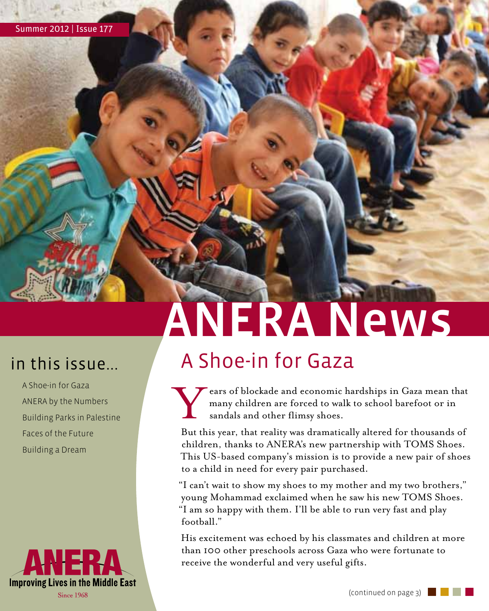# ANERA News

A Shoe-in for Gaza ANERA by the Numbers Building Parks in Palestine Faces of the Future Building a Dream



#### in this issue... A Shoe-in for Gaza

External State and economic hardships in Gaza mean that<br>many children are forced to walk to school barefoot or in<br>sandals and other flimsy shoes. many children are forced to walk to school barefoot or in sandals and other flimsy shoes.

But this year, that reality was dramatically altered for thousands of children, thanks to ANERA's new partnership with TOMS Shoes. This US-based company's mission is to provide a new pair of shoes to a child in need for every pair purchased.

"I can't wait to show my shoes to my mother and my two brothers," young Mohammad exclaimed when he saw his new TOMS Shoes. "I am so happy with them. I'll be able to run very fast and play football."

His excitement was echoed by his classmates and children at more than 100 other preschools across Gaza who were fortunate to receive the wonderful and very useful gifts.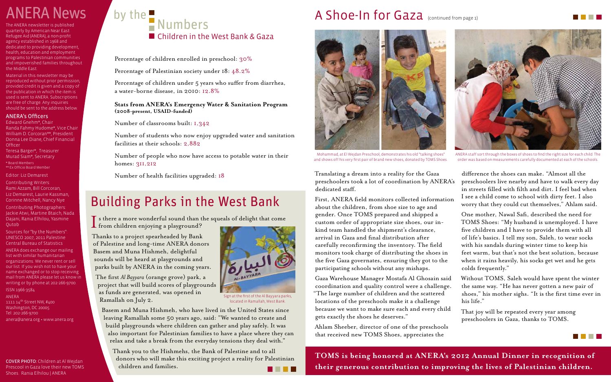Percentage of children enrolled in preschool: 30%

Percentage of Palestinian society under 18: 48.2%

Percentage of children under 5 years who suffer from diarrhea, a water-borne disease, in 2010: 12.8%

#### **Stats from ANERA's Emergency Water & Sanitation Program (2008-present, USAID-funded)**

Number of classrooms built: 1,342

Number of students who now enjoy upgraded water and sanitation facilities at their schools: 2,882

Number of people who now have access to potable water in their homes: 311,212

Number of health facilities upgraded: 18

Thank you to the Hishmehs, the Bank of Palestine and to all donors who will make this exciting project a reality for Palestinian children and families. . . . .

Thanks to a project spearheaded by Bank of Palestine and long-time ANERA donors Basem and Muna Hishmeh, delightful sounds will be heard at playgrounds and parks built by ANERA in the coming years.

The first *Al Bayyara* (orange grove) park, a project that will build scores of playgrounds as funds are generated, was opened in Ramallah on July 2.

Edward Gnehm\*, Chair Randa Fahmy Hudome\*, Vice Chair William D. Corcoran\*\*, President Donna Lee Diane, Chief Financial **Officer** 

> Basem and Muna Hishmeh, who have lived in the United States since leaving Ramallah some 50 years ago, said: "We wanted to create and build playgrounds where children can gather and play safely. It was also important for Palestinian families to have a place where they can relax and take a break from the everyday tensions they deal with."

### Building Parks in the West Bank

 $\blacksquare$  s there a more wonderful sound than the squeals of delight that come **f** from children enjoying a playground?

Translating a dream into a reality for the Gaza preschoolers took a lot of coordination by ANERA's dedicated staff.

The ANERA newsletter is published quarterly by American Near East Refugee Aid (ANERA), a non-profit agency established in 1968 and dedicated to providing development, health, education and employment programs to Palestinian communities and impoverished families throughout the Middle East.

Material in this newsletter may be reproduced without prior permission, provided credit is given and a copy of the publication in which the item is used is sent to ANERA. Subscriptions are free of charge. Any inquiries should be sent to the address below.

#### ANERA's Officers

Teresa Barger\*, Treasurer Murad Siam\*, Secretary \* Board Members \*\* Ex Officio Board Member

Editor: Liz Demarest

Contributing Writers: Rami Azzam, Bill Corcoran, Liz Demarest, Laurie Kassman, Corinne Mitchell, Nancy Nye

Contributing Photographers: Jackie Atwi, Martine Btaich, Nada Dajani, Rania Elhilou, Yasmine Qutob

Sources for "by the Numbers": UNESCO 2007, 2011 Palestine Central Bureau of Statistics

ANERA does exchange our mailing list with similar humanitarian organizations. We never rent or sell our list. If you wish not to have your name exchanged or to stop receiving mail from ANERA please let us know in writing or by phone at 202-266-9700.

ISSN 1966-3584 ANERA 1111 14th Street NW, #400 Washington, DC 20005 Tel: 202-266-9700

anera@anera.org • www.anera.org

COVER PHOTO: Children at Al Wejdan Prescool in Gaza love their new TOMS Shoes. Rania Elhilou | ANERA

### by the  $\blacksquare$  Numbers ■ Children in the West Bank & Gaza

First, ANERA field monitors collected information about the children, from shoe size to age and gender. Once TOMS prepared and shipped a custom order of appropriate size shoes, our inkind team handled the shipment's clearance, arrival in Gaza and final distribution after carefully reconfirming the inventory. The field monitors took charge of distributing the shoes in the five Gaza governates, ensuring they got to the participating schools without any mishaps.

Gaza Warehouse Manager Mostafa Al Ghosain said coordination and quality control were a challenge. "The large number of children and the scattered locations of the preschools make it a challenge because we want to make sure each and every child gets exactly the shoes he deserves."

Ahlam Sheeber, director of one of the preschools that received new TOMS Shoes, appreciates the

difference the shoes can make. "Almost all the preschoolers live nearby and have to walk every day in streets filled with filth and dirt. I feel bad when I see a child come to school with dirty feet. I also worry that they could cut themselves," Ahlam said.

One mother, Nawal Safi, described the need for TOMS Shoes: "My husband is unemployed. I have five children and I have to provide them with all of life's basics. I tell my son, Saleh, to wear socks with his sandals during winter time to keep his feet warm, but that's not the best solution, because when it rains heavily, his socks get wet and he gets colds frequently."

Without TOMS, Saleh would have spent the winter the same way. "He has never gotten a new pair of shoes," his mother sighs. "It is the first time ever in

his life."

That joy will be repeated every year among preschoolers in Gaza, thanks to TOMS.





Mohammad, at El Wejdan Preschool, demonstrates his old "talking shoes" and shows off his very first pair of brand new shoes, donated by TOMS Shoes.

Sign at the first of the Al Bayyara parks, located in Ramallah, West Bank.

## ANERA News by the strategic and a Shoe-In for Gaza (continued from page 1)



ANERA staff sort through the boxes of shoes to find the right size for each child. The order was based on measurements carefully documented at each of the schools.

**TOMS is being honored at ANERA's 2012 Annual Dinner in recognition of their generous contribution to improving the lives of Palestinian children.**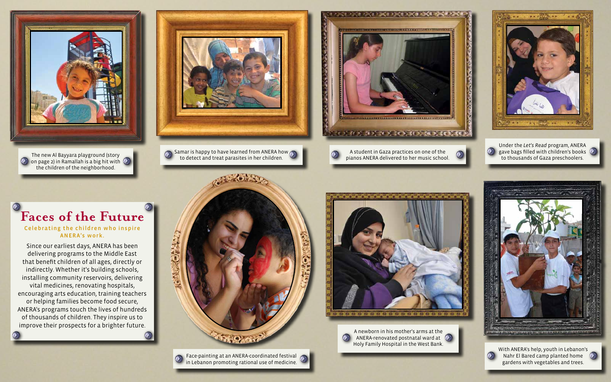### **Faces of the Future**

#### Celebrating the children who inspire ANERA's work.

Since our earliest days, ANERA has been delivering programs to the Middle East that benefit children of all ages, directly or indirectly. Whether it's building schools, installing community reservoirs, delivering vital medicines, renovating hospitals, encouraging arts education, training teachers or helping families become food secure, ANERA's programs touch the lives of hundreds of thousands of children. They inspire us to improve their prospects for a brighter future.



Face-painting at an ANERA-coordinated festival in Lebanon promoting rational use of medicine.





**(b)** on page 2) in Ramallah is a big hit with  $\Phi$ the children of the neighborhood.



 $\Omega$  Samar is happy to have learned from ANERA how  $\Omega$ The new Al Bayyara playground (story<br>to detect and treat parasites in her children.

5202015



A newborn in his mother's arms at the ANERA-renovated postnatal ward at (a) Holy Family Hospital in the West Bank.







 $\odot$ 

With ANERA's help, youth in Lebanon's Nahr El Bared camp planted home gardens with vegetables and trees.



Under the *Let's Read* program, ANERA **(b)** gave bags filled with children's books **(b)** to thousands of Gaza preschoolers.







A student in Gaza practices on one of the pianos ANERA delivered to her music school.

 $\bullet$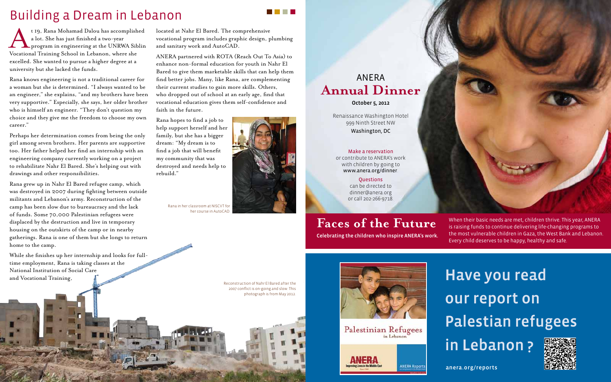## Have you read our report on Palestian refugees in Lebanon ?

anera.org/reports





t 19, Rana Mohamad Dalou has accomplished<br>a lot. She has just finished a two-year<br>program in engineering at the UNRWA Siblin<br>Vocational Training School in Lebanon, where she a lot. She has just finished a two-year program in engineering at the UNRWA Siblin Vocational Training School in Lebanon, where she excelled. She wanted to pursue a higher degree at a university but she lacked the funds.

Rana knows engineering is not a traditional career for a woman but she is determined. "I always wanted to be an engineer," she explains, "and my brothers have been very supportive." Especially, she says, her older brother who is himself an engineer. "They don't question my choice and they give me the freedom to choose my own career."

Perhaps her determination comes from being the only girl among seven brothers. Her parents are supportive too. Her father helped her find an internship with an engineering company currently working on a project to rehabilitate Nahr El Bared. She's helping out with drawings and other responsibilities.

Rana grew up in Nahr El Bared refugee camp, which was destroyed in 2007 during fighting between outside militants and Lebanon's army. Reconstruction of the camp has been slow due to bureaucracy and the lack of funds. Some 70,000 Palestinian refugees were displaced by the destruction and live in temporary housing on the outskirts of the camp or in nearby gatherings. Rana is one of them but she longs to return home to the camp.

While she finishes up her internship and looks for fulltime employment, Rana is taking classes at the National Institution of Social Care and Vocational Training,

located at Nahr El Bared. The comprehensive vocational program includes graphic design, plumbing and sanitary work and AutoCAD.

ANERA partnered with ROTA (Reach Out To Asia) to enhance non-formal education for youth in Nahr El Bared to give them marketable skills that can help them find better jobs. Many, like Rana, are complementing their current studies to gain more skills. Others, who dropped out of school at an early age, find that vocational education gives them self-confidence and faith in the future.

Rana hopes to find a job to help support herself and her family, but she has a bigger dream: "My dream is to find a job that will benefit my community that was destroyed and needs help to rebuild."

### Building a Dream in Lebanon

Reconstruction of Nahr El Bared after the 2007 conflict is on-going and slow. This photograph is from May 2012.



Palestinian Refugees



Rana in her classroom at NISCVT for her course in AutoCAD.



. . . .

ANERA **Annual Dinner**

October 5, 2012

Renaissance Washington Hotel 999 Ninth Street NW Washington, DC

#### Make a reservation

or contribute to ANERA's work with children by going to www.anera.org/dinner.

> Questions can be directed to dinner@anera.org or call 202-266-9718.

#### **Faces of the Future**

Celebrating the children who inspire ANERA's work.

When their basic needs are met, children thrive. This year, ANERA is raising funds to continue delivering life-changing programs to the most vulnerable children in Gaza, the West Bank and Lebanon. Every child deserves to be happy, healthy and safe.